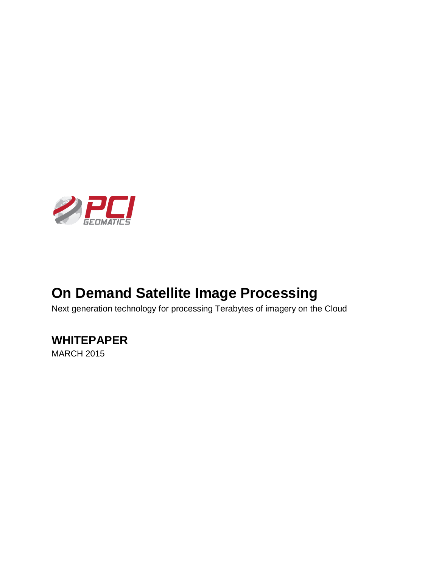

# **On Demand Satellite Image Processing**

Next generation technology for processing Terabytes of imagery on the Cloud

### **WHITEPAPER**

MARCH 2015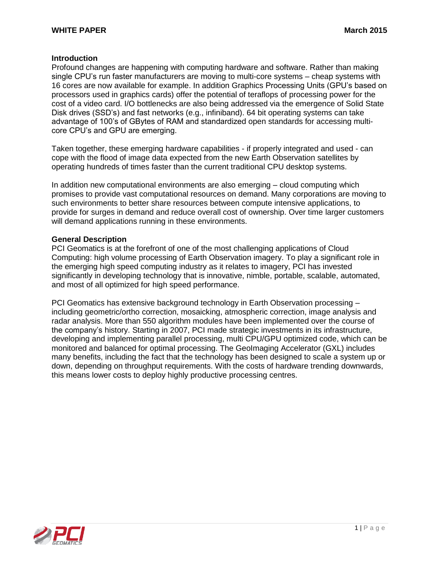#### **Introduction**

Profound changes are happening with computing hardware and software. Rather than making single CPU's run faster manufacturers are moving to multi-core systems – cheap systems with 16 cores are now available for example. In addition Graphics Processing Units (GPU's based on processors used in graphics cards) offer the potential of teraflops of processing power for the cost of a video card. I/O bottlenecks are also being addressed via the emergence of Solid State Disk drives (SSD's) and fast networks (e.g., infiniband). 64 bit operating systems can take advantage of 100's of GBytes of RAM and standardized open standards for accessing multicore CPU's and GPU are emerging.

Taken together, these emerging hardware capabilities - if properly integrated and used - can cope with the flood of image data expected from the new Earth Observation satellites by operating hundreds of times faster than the current traditional CPU desktop systems.

In addition new computational environments are also emerging – cloud computing which promises to provide vast computational resources on demand. Many corporations are moving to such environments to better share resources between compute intensive applications, to provide for surges in demand and reduce overall cost of ownership. Over time larger customers will demand applications running in these environments.

#### **General Description**

PCI Geomatics is at the forefront of one of the most challenging applications of Cloud Computing: high volume processing of Earth Observation imagery. To play a significant role in the emerging high speed computing industry as it relates to imagery, PCI has invested significantly in developing technology that is innovative, nimble, portable, scalable, automated, and most of all optimized for high speed performance.

PCI Geomatics has extensive background technology in Earth Observation processing – including geometric/ortho correction, mosaicking, atmospheric correction, image analysis and radar analysis. More than 550 algorithm modules have been implemented over the course of the company's history. Starting in 2007, PCI made strategic investments in its infrastructure, developing and implementing parallel processing, multi CPU/GPU optimized code, which can be monitored and balanced for optimal processing. The GeoImaging Accelerator (GXL) includes many benefits, including the fact that the technology has been designed to scale a system up or down, depending on throughput requirements. With the costs of hardware trending downwards, this means lower costs to deploy highly productive processing centres.

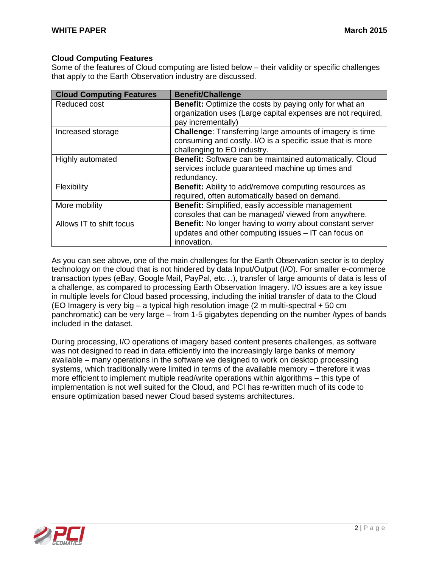#### **Cloud Computing Features**

Some of the features of Cloud computing are listed below – their validity or specific challenges that apply to the Earth Observation industry are discussed.

| <b>Cloud Computing Features</b> | <b>Benefit/Challenge</b>                                        |
|---------------------------------|-----------------------------------------------------------------|
| Reduced cost                    | <b>Benefit:</b> Optimize the costs by paying only for what an   |
|                                 | organization uses (Large capital expenses are not required,     |
|                                 | pay incrementally)                                              |
| Increased storage               | <b>Challenge:</b> Transferring large amounts of imagery is time |
|                                 | consuming and costly. I/O is a specific issue that is more      |
|                                 | challenging to EO industry.                                     |
| Highly automated                | Benefit: Software can be maintained automatically. Cloud        |
|                                 | services include guaranteed machine up times and                |
|                                 | redundancy.                                                     |
| Flexibility                     | <b>Benefit:</b> Ability to add/remove computing resources as    |
|                                 | required, often automatically based on demand.                  |
| More mobility                   | Benefit: Simplified, easily accessible management               |
|                                 | consoles that can be managed/viewed from anywhere.              |
| Allows IT to shift focus        | Benefit: No longer having to worry about constant server        |
|                                 | updates and other computing issues - IT can focus on            |
|                                 | innovation.                                                     |

As you can see above, one of the main challenges for the Earth Observation sector is to deploy technology on the cloud that is not hindered by data Input/Output (I/O). For smaller e-commerce transaction types (eBay, Google Mail, PayPal, etc…), transfer of large amounts of data is less of a challenge, as compared to processing Earth Observation Imagery. I/O issues are a key issue in multiple levels for Cloud based processing, including the initial transfer of data to the Cloud (EO Imagery is very big – a typical high resolution image (2 m multi-spectral + 50 cm panchromatic) can be very large – from 1-5 gigabytes depending on the number /types of bands included in the dataset.

During processing, I/O operations of imagery based content presents challenges, as software was not designed to read in data efficiently into the increasingly large banks of memory available – many operations in the software we designed to work on desktop processing systems, which traditionally were limited in terms of the available memory – therefore it was more efficient to implement multiple read/write operations within algorithms – this type of implementation is not well suited for the Cloud, and PCI has re-written much of its code to ensure optimization based newer Cloud based systems architectures.

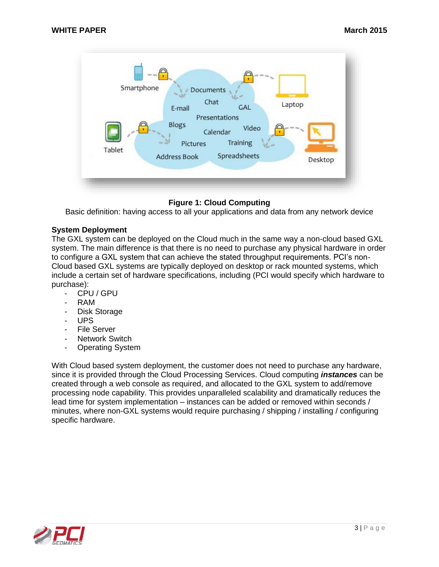

#### **Figure 1: Cloud Computing**

Basic definition: having access to all your applications and data from any network device

#### **System Deployment**

The GXL system can be deployed on the Cloud much in the same way a non-cloud based GXL system. The main difference is that there is no need to purchase any physical hardware in order to configure a GXL system that can achieve the stated throughput requirements. PCI's non-Cloud based GXL systems are typically deployed on desktop or rack mounted systems, which include a certain set of hardware specifications, including (PCI would specify which hardware to purchase):

- CPU / GPU
- RAM
- Disk Storage
- UPS
- File Server
- Network Switch
- Operating System

With Cloud based system deployment, the customer does not need to purchase any hardware, since it is provided through the Cloud Processing Services. Cloud computing *instances* can be created through a web console as required, and allocated to the GXL system to add/remove processing node capability. This provides unparalleled scalability and dramatically reduces the lead time for system implementation – instances can be added or removed within seconds / minutes, where non-GXL systems would require purchasing / shipping / installing / configuring specific hardware.

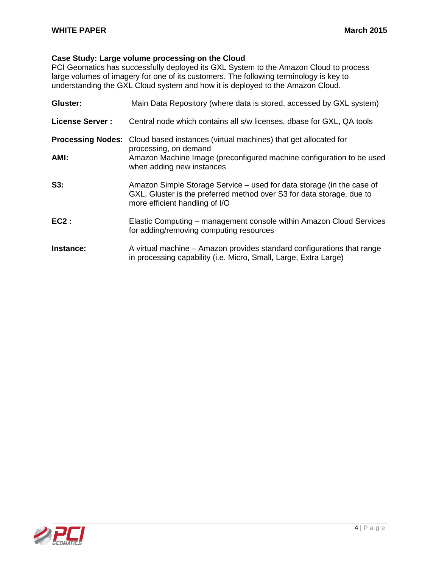#### **Case Study: Large volume processing on the Cloud**

PCI Geomatics has successfully deployed its GXL System to the Amazon Cloud to process large volumes of imagery for one of its customers. The following terminology is key to understanding the GXL Cloud system and how it is deployed to the Amazon Cloud.

| Gluster:                 | Main Data Repository (where data is stored, accessed by GXL system)                                                                                                              |
|--------------------------|----------------------------------------------------------------------------------------------------------------------------------------------------------------------------------|
| <b>License Server:</b>   | Central node which contains all s/w licenses, dbase for GXL, QA tools                                                                                                            |
| <b>Processing Nodes:</b> | Cloud based instances (virtual machines) that get allocated for<br>processing, on demand                                                                                         |
| AMI:                     | Amazon Machine Image (preconfigured machine configuration to be used<br>when adding new instances                                                                                |
| S3:                      | Amazon Simple Storage Service – used for data storage (in the case of<br>GXL, Gluster is the preferred method over S3 for data storage, due to<br>more efficient handling of I/O |
| $EC2$ :                  | Elastic Computing – management console within Amazon Cloud Services<br>for adding/removing computing resources                                                                   |
| Instance:                | A virtual machine - Amazon provides standard configurations that range<br>in processing capability (i.e. Micro, Small, Large, Extra Large)                                       |

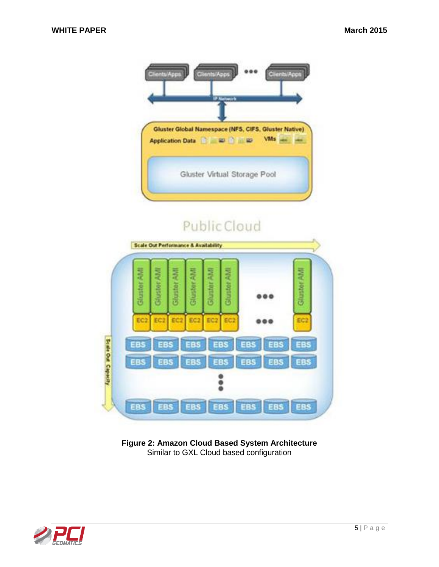

# Public Cloud



**Figure 2: Amazon Cloud Based System Architecture** Similar to GXL Cloud based configuration

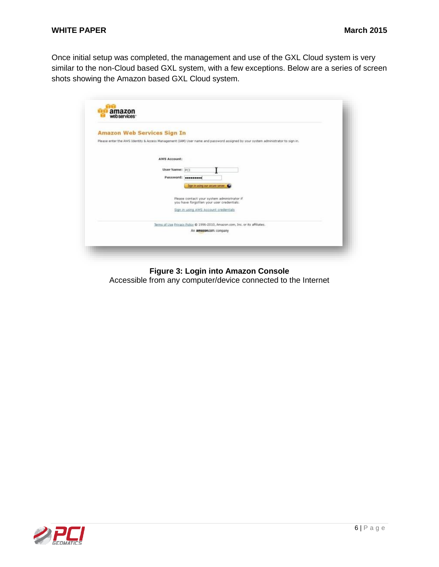Once initial setup was completed, the management and use of the GXL Cloud system is very similar to the non-Cloud based GXL system, with a few exceptions. Below are a series of screen shots showing the Amazon based GXL Cloud system.

| <b>Amazon Web Services Sign In</b>                                                                                               |  |
|----------------------------------------------------------------------------------------------------------------------------------|--|
| Please enter the AWS Identity & Access Management (IAM) User name and password assigned by your system administrator to sign in. |  |
|                                                                                                                                  |  |
| <b>AWS Account:</b>                                                                                                              |  |
| User Name: PCI                                                                                                                   |  |
| Password: <i>executed</i>                                                                                                        |  |
| Sign in using our secure server                                                                                                  |  |
| Please contact your system administrator if<br>you have forgotten your user credentials.                                         |  |
| Sign in using AWS Account credentials                                                                                            |  |
|                                                                                                                                  |  |
| Terms of Use Privacy Policy @ 1996-2010, Amazon.com, Inc. or its affiliates.                                                     |  |
| An amazon.com company                                                                                                            |  |

#### **Figure 3: Login into Amazon Console**

Accessible from any computer/device connected to the Internet

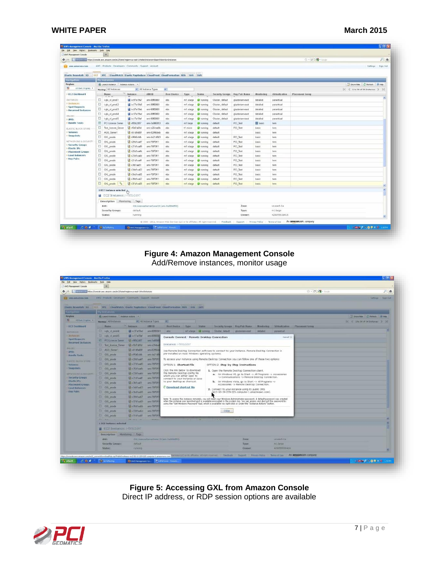|                                           | 1 Turnoon com https://console.saes.amazon.com/ec2/home?region=us-east-1#selectInstance=6launchAme=betances |                          |                    |                  |                           |                         |                  |                 |                |                         | ☆ - C N - Google                                                                                                                                       | 月青                                            |
|-------------------------------------------|------------------------------------------------------------------------------------------------------------|--------------------------|--------------------|------------------|---------------------------|-------------------------|------------------|-----------------|----------------|-------------------------|--------------------------------------------------------------------------------------------------------------------------------------------------------|-----------------------------------------------|
| <b>bs</b> aws.amazon.com                  | AWS Products Developers Community Support Account                                                          |                          |                    |                  |                           |                         |                  |                 |                |                         |                                                                                                                                                        | Settings Sign Out                             |
|                                           |                                                                                                            |                          |                    |                  |                           |                         |                  |                 |                |                         |                                                                                                                                                        |                                               |
| Flastic Beanstalk \$3                     | EC2 VPC CloudWatch Elastic MapReduce CloudFront CloudFormation RDS SNS IAM                                 |                          |                    |                  | I Assumed Library Library |                         |                  |                 |                |                         |                                                                                                                                                        |                                               |
| <b>Navigation</b>                         | ly Instances                                                                                               |                          |                    |                  |                           |                         |                  |                 |                |                         |                                                                                                                                                        |                                               |
| Region:                                   | Launch Instance Instance Actions                                                                           |                          |                    |                  |                           |                         |                  |                 |                |                         |                                                                                                                                                        | Showhick 2 Retreak 19 Help                    |
| E US East (Vegina) -                      | Viewing: All Instances                                                                                     |                          | All Instance Types | $\omega_{\perp}$ |                           |                         |                  |                 |                |                         |                                                                                                                                                        | $ \ell  \leq 1$ to 34 of 34 Instances $>$ $>$ |
| > EC2 Dashboard                           | Name                                                                                                       | <b>Justance</b>          | AMI ID             | Root Device      | Type                      | <b>Status</b>           | Security Groups  | Key Pair Name   | Menitering     | Virtualization          | <b>Placement Group</b>                                                                                                                                 |                                               |
| INSTANCES                                 | D i-glu xl prod-1                                                                                          | $E = 1007a19a7$          | ami-0860661        | ebs              |                           | m1.xlarge a running     | Gluster, default | glustenam-east  | detailed       | paravirtual             |                                                                                                                                                        |                                               |
| > Instances<br>> Spot Requests            | Figlu at prod-2                                                                                            | $+c77a19a9$              | arri-08f50661      | ebs              | m1.xlarge                 | <b>O</b> running        | Gluster, default | glusteriam-east | detailed       | paravirtual             |                                                                                                                                                        |                                               |
| > Reserved Instances                      | El i-glu_sl_prod-3                                                                                         | $-67a19ab$               | am-0860661         | ebs.             | m1.xlarge                 | <b>O</b> running        | Gluster, default | glusteriam-east | detailed       | paravetual              |                                                                                                                                                        |                                               |
| IMAGES-                                   | D i-glu_vl_prod-4                                                                                          | $F27$ a19ad              | ami-08f60661       | ebs              | m1.xlarge                 | <b>O</b> running        | Gluster, default | glustenam-east  | detailed       | paravirtual             |                                                                                                                                                        |                                               |
| > AMIS                                    | D i-glu_xl_prod-5                                                                                          | $\frac{1}{2}$ i-c17a19af | ami-0860661        | obs              | m1.xlarge                 | <b>O</b> running        | Gluster, default | glusteriam-east | detailed       | paravirtual             |                                                                                                                                                        |                                               |
| <b>&gt; Bundle Tasks</b>                  | <b>PCI License Server</b>                                                                                  | F i-56b2d97              | ami-3u906853       | ebs              | m1.large                  | <b>D</b> running        | default          | PCI Test        | <b>B</b> basic | hwrn                    |                                                                                                                                                        |                                               |
| ELASTIC BLOCK STORE                       | <b>El Test Icense Server</b>                                                                               | E +9474694               | am-e254asBb        | ebs.             | t1.micro                  | <b>C</b> running        | default          | PCI Test        | basic          | hwm.                    |                                                                                                                                                        |                                               |
| > Volumes                                 | AGS Server1                                                                                                | <b>M</b> i61d9a80f       | any-82956deb       | obis             | m1.xlarge                 | <b>Committed</b>        | default          |                 | basic          | hvm                     |                                                                                                                                                        |                                               |
| > Snapshots                               | GXL_pnode                                                                                                  | <b>2 +95b6cbfb</b>       | ami-da21dBb3       | ebs              | m1.xlarge                 | <b>O</b> nunning        | default          | PCI_Test        | basic          | hwm                     |                                                                                                                                                        |                                               |
| NETWORKING & SECURITY                     | D GXL_pnode                                                                                                | B 1-29d1aa47             | ami-780'0f11       | ebs:             | m1 slarge                 | <b>D</b> running        | default          | PCI Test        | basic          | hvm.                    |                                                                                                                                                        |                                               |
| <b>Security Groups</b><br>Elastic IPs     | El GXL_pnode                                                                                               | 27dTaa49                 | ami-7870f11        | 005              | en1.xlarge                | <b>O</b> running        | default          | PCI Test        | basic          | hvrn                    |                                                                                                                                                        |                                               |
| > Placement Groups                        | E GXL pnode                                                                                                | is i-25diaa4b            | ami-789'0ff1       | $_{\text{obs}}$  | m1.xlarge                 | <b><i>C</i></b> running | default          | PCI Test        | basic          | hvm                     |                                                                                                                                                        |                                               |
| <b>EDad Balancers</b><br><b>Key Pairs</b> | El GXL_pnode                                                                                               | is i-23dlaa4d            | ami-78(70f11)      | ebs              | m1_xlarge                 | <b>O</b> running        | default          | PCI_Test        | basic          | hvm                     |                                                                                                                                                        |                                               |
|                                           | GXL_pnode                                                                                                  | $-121d1$ aa4f            | ami-78/70f11       | abs              | m1.xlarge                 | <b>O</b> running        | default          | PCI Test        | hasic          | hvm                     |                                                                                                                                                        |                                               |
|                                           | GXL pnode                                                                                                  | B +3fd1 aa61             | ami-780'0f11       | abs              | m1.xlarge                 | <b>O</b> running        | default          | PCI Test        | basic          | hvm                     |                                                                                                                                                        |                                               |
|                                           | GXL_pnode                                                                                                  | Education is             | ami-78670f11       | $_{\text{obs}}$  | m1.xlarge                 | <b><i>D</i></b> nunning | default          | PCI_Test        | basic          | hvm                     |                                                                                                                                                        |                                               |
|                                           | GXL pnode                                                                                                  | B i-3bd1aa55             | ami-7870f11        | ebs              | m1_xlarge                 | <b>D</b> nanning        | default          | PCI Test        | basic          | hvm                     |                                                                                                                                                        |                                               |
|                                           | GXL pnode                                                                                                  | 图 139d1aa57              | ami-780'0f11       | ebs              | mf.xlarge                 | numming<br>ø            | default          | PCI Test        | basic          | frvinn.                 |                                                                                                                                                        |                                               |
|                                           | GXL pnode                                                                                                  | 137 dT aa59              | ami-780'0f11       | ebs.             | mit xlarge                | <b>O</b> running        | default          | PCI Test        | basic          | <b>Fremm</b>            |                                                                                                                                                        |                                               |
|                                           | 1 EC2 Instance selected 8                                                                                  |                          |                    |                  |                           |                         |                  |                 |                |                         |                                                                                                                                                        |                                               |
|                                           | EC2 Instance: i-f95b2d97                                                                                   |                          |                    |                  |                           |                         |                  |                 |                |                         |                                                                                                                                                        |                                               |
|                                           |                                                                                                            |                          |                    |                  |                           |                         |                  |                 |                |                         |                                                                                                                                                        |                                               |
|                                           | Description Monitoring Tags                                                                                |                          |                    |                  |                           |                         |                  |                 |                |                         |                                                                                                                                                        |                                               |
|                                           | AMI:<br>GXLLicenseServer3une13 (ami-3a9D6953)                                                              |                          |                    |                  |                           |                         |                  | Zone:           |                | us-east-1a              |                                                                                                                                                        |                                               |
|                                           | Security Groups:<br>Status:                                                                                | default<br>running       |                    |                  |                           |                         |                  | Type:<br>Owner: |                | milarge<br>429055538416 |                                                                                                                                                        |                                               |
|                                           |                                                                                                            |                          |                    |                  |                           |                         |                  |                 |                |                         |                                                                                                                                                        |                                               |
|                                           |                                                                                                            |                          |                    |                  |                           |                         |                  |                 |                |                         | @ 2008 - 2011, Amazon Web Services LLC or its affiliates. All right reserved.   Feedback   Support   Privacy Policy   Terms of Use   An amazon.company |                                               |

#### **Figure 4: Amazon Management Console** Add/Remove instances, monitor usage

|                                                                                                        | https://console.avis.amazon.com/ec2/home?region=us-east-1#s=Instances |                           |                                |                                                                                                                              |                                                                                                                                                                                                                                                       |                       | ☆ - (e) M - 2000               | 户食                                |
|--------------------------------------------------------------------------------------------------------|-----------------------------------------------------------------------|---------------------------|--------------------------------|------------------------------------------------------------------------------------------------------------------------------|-------------------------------------------------------------------------------------------------------------------------------------------------------------------------------------------------------------------------------------------------------|-----------------------|--------------------------------|-----------------------------------|
| <b>SE SPERMATORCOM</b>                                                                                 | AWS Products Developers Community Support Account                     |                           |                                |                                                                                                                              |                                                                                                                                                                                                                                                       |                       |                                | <b>Settings</b> Sign Out          |
|                                                                                                        |                                                                       |                           |                                |                                                                                                                              |                                                                                                                                                                                                                                                       |                       |                                |                                   |
|                                                                                                        |                                                                       |                           |                                | Elestic Beaustalk 53 EC2 VPC CloudWatch Elestic Hapfieduce CloudFront CloudFormation RDS 5NS 1AM                             |                                                                                                                                                                                                                                                       |                       |                                |                                   |
|                                                                                                        | <b>V trent and in</b>                                                 |                           |                                |                                                                                                                              |                                                                                                                                                                                                                                                       |                       |                                |                                   |
| <b>Region:</b>                                                                                         | US Lieunch Instance / Instance Aidsms   =                             |                           |                                |                                                                                                                              |                                                                                                                                                                                                                                                       |                       |                                | D ShowHole C Remember 19 Help     |
| 距<br>US Earl (Virginia)                                                                                | Weekligs: All Instances                                               |                           | <b>Mill All Instance Types</b> |                                                                                                                              |                                                                                                                                                                                                                                                       |                       |                                | IC C 1 to 24 of 34 Instances 3 30 |
| - LC2 Dashboard                                                                                        | <b>Tiame</b>                                                          | <b>Imtanza</b>            | <b>AMERO</b>                   | Rout Daytes<br><b>Typon</b><br><b>Statist</b>                                                                                | Security Groups Key Pair Hame:                                                                                                                                                                                                                        | <b>Manitoring</b>     | Virtualization Placement-Genup |                                   |
| <b>INITIANCES</b>                                                                                      | El volu si prod-&                                                     | Fe37A19ad                 | ать 09/90/661                  | <b>Abs:</b><br>missiange of running                                                                                          | Gluster, default<br>glustensm-east                                                                                                                                                                                                                    | detailed<br>manantual |                                |                                   |
| a Tinchancas.                                                                                          | Ell i-glu vi prod-S                                                   | all Let7at9at             | mmO2500                        | Console Connect - Remote Desktop Connection                                                                                  |                                                                                                                                                                                                                                                       | Cancel K              |                                |                                   |
| <b>I Spot Requests</b><br>Reserved Instances                                                           | <b>PCI License Sarver</b>                                             | <b>ALL ANSIQUEST</b>      | ami-3a9068                     |                                                                                                                              |                                                                                                                                                                                                                                                       |                       |                                |                                   |
|                                                                                                        | El Test Formse Server                                                 | <b>请 +0d7a69d</b>         | ami 6254 sal                   | Instance: i-f95b2d97                                                                                                         |                                                                                                                                                                                                                                                       |                       |                                |                                   |
| <b>UMAGES</b><br>AMIS                                                                                  | El AGS Server1                                                        | <b>URABITATION</b>        | ami-E2956d                     |                                                                                                                              | Use Remote Desktop Connection software to connect to your instance. Remote Desktop Connection is                                                                                                                                                      |                       |                                |                                   |
| <b>Bundle Tasks</b>                                                                                    | <b>El GXL</b> prode                                                   | Life +95bGchft            | ami da21dB                     | pre-installed on most Windows operating systems.                                                                             |                                                                                                                                                                                                                                                       |                       |                                |                                   |
| <b>ELASTEC SLOCK STORE</b>                                                                             | $\Box$ GXL phode                                                      | 1 - 129d1 us47            | ami-7807011                    |                                                                                                                              | To access your instance using Remote Desktop Connection you can follow one of these two options:                                                                                                                                                      |                       |                                |                                   |
| <b>Volumes</b>                                                                                         | <b>CXL</b> anothe                                                     | S-127dlast9               | ami-7697011                    | <b>CPTION 1: Shortcut File</b>                                                                                               | OPTION 2: Step-by-Step Instructions                                                                                                                                                                                                                   |                       |                                |                                   |
| <b>Snapshots</b>                                                                                       | GXL prode                                                             | -25dTas4b                 | ami-789'0rt                    | Click the link below to download                                                                                             | 1. Open the Remote Desktop Connection client.                                                                                                                                                                                                         |                       |                                |                                   |
| <b>NETWORKING</b> & SECURITY                                                                           | El GXL-prode                                                          | UF +23tll said.           | smi-7800ft                     | the Remote Desktop config file                                                                                               | a. On Windows XP, go to Start -> All Programs -> Accessories                                                                                                                                                                                          |                       |                                |                                   |
| <b>Security Groups</b><br>Elastic IPs<br><b>Placement Groups</b><br><b>Load Balancers</b><br>Key Poirs | <b>ET GXL</b> pnode                                                   | 1st +21dlas4f             | am+70070f1                     | which you can either open to<br>connect to your instance or save<br>to your desktop as shortcut.<br>C Download shortcut file | -> Communications -> Remote Desktop Connection.                                                                                                                                                                                                       |                       |                                |                                   |
|                                                                                                        | E GXL phode                                                           | B. L361au51               | smi-78000                      |                                                                                                                              | b. On Windows Vista, go to Start -> All Programs -><br>Accessories -> Remote Desktop Connection.                                                                                                                                                      |                       |                                |                                   |
|                                                                                                        | GXL pnode                                                             | (a) +3dd1au53 ami-78670rt |                                |                                                                                                                              |                                                                                                                                                                                                                                                       |                       |                                |                                   |
|                                                                                                        | E GXL pnode                                                           | Bastindian                | ami-76f70rt                    |                                                                                                                              | 2. Connect to your instance using its public DNS<br>[ec2-50-19-229-225.compute-1.amazonaws.com].                                                                                                                                                      |                       |                                |                                   |
|                                                                                                        | El GXL_pnode                                                          | Sei 139d tau57            | ami-76070f1                    |                                                                                                                              |                                                                                                                                                                                                                                                       |                       |                                |                                   |
|                                                                                                        | El GXL pnode                                                          | GF +37dTaa59              | am-7007011                     |                                                                                                                              | Note: To access this instance remotely, you will need your Windows Administrator password. A default password was created<br>when the instance was launched and is available encrypted in the system log. You can access and decrypt this password by |                       |                                |                                   |
|                                                                                                        | <b>ET GXL</b> prode                                                   | GeathRE-                  | ami-7607011                    |                                                                                                                              | using the "Get Windows Password" tool, which is available via right-click or under the "Instance Actions" button.                                                                                                                                     |                       |                                |                                   |
|                                                                                                        | <b>D</b> GXL pnode                                                    | 14 33dtas5d               | ami-780'0rl                    |                                                                                                                              | Cidse:                                                                                                                                                                                                                                                |                       |                                |                                   |
|                                                                                                        | E GXL snode                                                           | Beathlife &               | ami-7870ff                     |                                                                                                                              |                                                                                                                                                                                                                                                       |                       |                                |                                   |
|                                                                                                        | <b>PELLING</b>                                                        | <b>TRANSMAN</b>           |                                |                                                                                                                              |                                                                                                                                                                                                                                                       |                       |                                |                                   |
|                                                                                                        | 1 EE2 Instance selected.                                              |                           |                                |                                                                                                                              |                                                                                                                                                                                                                                                       |                       |                                |                                   |
|                                                                                                        | EC2 Instance: - 19562097                                              |                           |                                |                                                                                                                              |                                                                                                                                                                                                                                                       |                       |                                |                                   |
|                                                                                                        | Description Monitoring Tags                                           |                           |                                |                                                                                                                              |                                                                                                                                                                                                                                                       |                       |                                |                                   |
|                                                                                                        | AME:                                                                  |                           |                                | GXLLcenceServerJune13 (anv-3a906853)                                                                                         | Zonet                                                                                                                                                                                                                                                 | us-east-1a            |                                |                                   |
|                                                                                                        | Security Groups:                                                      | detault                   |                                |                                                                                                                              | <b>Type:</b>                                                                                                                                                                                                                                          | millarge              |                                |                                   |
|                                                                                                        | <b>Status:</b>                                                        | running                   |                                |                                                                                                                              | Owner:                                                                                                                                                                                                                                                | 420055538416          |                                |                                   |
|                                                                                                        |                                                                       |                           |                                |                                                                                                                              | Neps-Stonede.ave.amaze.com/ec2/_connectionwise/5dp.pp?NubEcrediama-ec2-5019-205-conpute-1.amazinams.com Storicitist LC on the affiliation. All right reserved. Reedback Tuppers Peters Peters Peter                                                   |                       | Terms of Use An amazon.company |                                   |

**Figure 5: Accessing GXL from Amazon Console** Direct IP address, or RDP session options are available

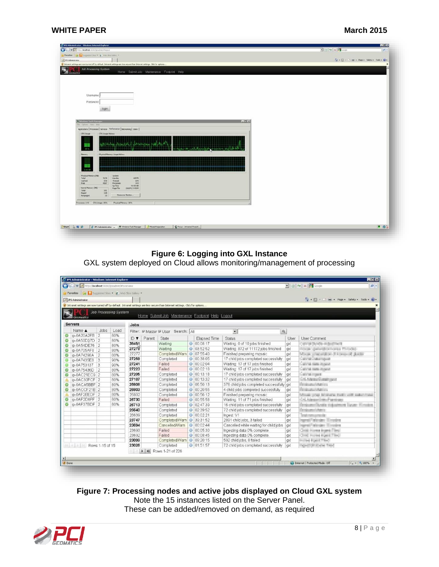#### **WHITE PAPER March 2015**

| (C) (C) = R Http://localhoid:1000/groodmin/ifogout                                                                              | $\rightarrow$ $\rightarrow$ $\times$ $\rightarrow$                                                                                                                                                                                                                            |
|---------------------------------------------------------------------------------------------------------------------------------|-------------------------------------------------------------------------------------------------------------------------------------------------------------------------------------------------------------------------------------------------------------------------------|
| Forcetos   Ca   Siggested Star - @ Institute Gallery +                                                                          |                                                                                                                                                                                                                                                                               |
| JPS Administrator                                                                                                               | $\overline{f_{\mathbf{Q}}}$ + $\overline{f_{\mathbf{Q}}}$ + $\overline{f_{\mathbf{Q}}}$ + $\overline{f_{\mathbf{Q}}}$ + $\overline{f_{\mathbf{Q}}}$ + $\overline{f_{\mathbf{Q}}}$ + $\overline{f_{\mathbf{Q}}}$ + $\overline{f_{\mathbf{Q}}}$ + $\overline{f_{\mathbf{Q}}}$ + |
| If Intranet settings are now turned off by default. Intranet settings are less secure than Internet settings. Click for options |                                                                                                                                                                                                                                                                               |
| Job Processing System<br>Home Submit Job Maintenance Footprint Help<br><b><i><u>Innimation</u></i></b>                          |                                                                                                                                                                                                                                                                               |
|                                                                                                                                 |                                                                                                                                                                                                                                                                               |
|                                                                                                                                 |                                                                                                                                                                                                                                                                               |
|                                                                                                                                 |                                                                                                                                                                                                                                                                               |
|                                                                                                                                 |                                                                                                                                                                                                                                                                               |
| Usemame                                                                                                                         |                                                                                                                                                                                                                                                                               |
| Password                                                                                                                        |                                                                                                                                                                                                                                                                               |
| login                                                                                                                           |                                                                                                                                                                                                                                                                               |
|                                                                                                                                 |                                                                                                                                                                                                                                                                               |
|                                                                                                                                 |                                                                                                                                                                                                                                                                               |
| Distantines Task Manager<br>$ R$                                                                                                |                                                                                                                                                                                                                                                                               |
| File cynonic Yers Help<br>Applications   Processes   Services Performance   Networking   Users                                  |                                                                                                                                                                                                                                                                               |
| CPU Usage Hotory<br><b>CPU Lisage</b>                                                                                           |                                                                                                                                                                                                                                                                               |
|                                                                                                                                 |                                                                                                                                                                                                                                                                               |
| <b>I.M. F.Sk.</b>                                                                                                               |                                                                                                                                                                                                                                                                               |
|                                                                                                                                 |                                                                                                                                                                                                                                                                               |
| <b>Physical Memory Usage History</b><br>Memory:                                                                                 |                                                                                                                                                                                                                                                                               |
|                                                                                                                                 |                                                                                                                                                                                                                                                                               |
|                                                                                                                                 |                                                                                                                                                                                                                                                                               |
| 9.84.02                                                                                                                         |                                                                                                                                                                                                                                                                               |
|                                                                                                                                 |                                                                                                                                                                                                                                                                               |
| <b>Physical Nemory (MB)</b><br>System:<br>Total<br>7678<br>40575<br>Hardes<br>Carheid<br>020<br>104<br><b>Thranch</b>           |                                                                                                                                                                                                                                                                               |
| 143<br>Free<br>4367<br>Processes<br>91:00:08<br>1.lp Times                                                                      |                                                                                                                                                                                                                                                                               |
| Kernel Memory (195)<br>26624 / 94934<br>Page File<br>181<br>Total                                                               |                                                                                                                                                                                                                                                                               |
| $\frac{148}{30}$<br>Paged<br>Resource Monitor<br>Nonpaged                                                                       |                                                                                                                                                                                                                                                                               |
|                                                                                                                                 |                                                                                                                                                                                                                                                                               |
| Processes: 143 CPU Usage: 26%<br>Physical Memory: 35%                                                                           |                                                                                                                                                                                                                                                                               |
|                                                                                                                                 |                                                                                                                                                                                                                                                                               |
|                                                                                                                                 |                                                                                                                                                                                                                                                                               |
|                                                                                                                                 |                                                                                                                                                                                                                                                                               |
|                                                                                                                                 |                                                                                                                                                                                                                                                                               |
| Start   E<br>Focus - Unnamed Project                                                                                            | $-86$                                                                                                                                                                                                                                                                         |

### **Figure 6: Logging into GXL Instance**

GXL system deployed on Cloud allows monitoring/management of processing

| Pavorites S Suggested Sites . 2 Web Sloe Gallery . |             |                              |       |        |                                                                                                                                |                   |                                           |      |                                                   |
|----------------------------------------------------|-------------|------------------------------|-------|--------|--------------------------------------------------------------------------------------------------------------------------------|-------------------|-------------------------------------------|------|---------------------------------------------------|
| JPS Administrator                                  |             |                              |       |        |                                                                                                                                |                   |                                           |      | • 5 · 1 · Page · Safety · Tools · 2 ·             |
|                                                    |             |                              |       |        | 1 Intranet settings are now turned off by default. Intranet settings are less secure than Internet settings. Click for options |                   |                                           |      |                                                   |
| Geomatics                                          |             | <b>Job Processing System</b> |       |        | Home Submit Job Maintenance Footprint Help Logout                                                                              |                   |                                           |      |                                                   |
| <b>Servers</b>                                     |             |                              | Jobs  |        |                                                                                                                                |                   |                                           |      |                                                   |
| Name A                                             | <b>Jobs</b> | Load                         |       |        | Filter: Master MUser Search: All                                                                                               |                   | $\bullet$<br>$\mathbf{Q}$                 |      |                                                   |
| ip-0A20A2FB 2                                      |             | 80%                          | D V   | Parent | State                                                                                                                          | Elapsed Time      | Status                                    | User | User Comment                                      |
| ip-0A50D37D 2                                      |             | 80%                          | 38451 |        | Waiting                                                                                                                        | 0 00:08:17        | Waiting: 0 of 10 jobs finished            | axl  | cannot be with industry and                       |
| ip-0A54DE76 2                                      |             | 80%                          | 27278 |        | Waiting                                                                                                                        | 03:52:52          | Waiting. 872 of 11172 jobs finished       | axl  | ficients distinctly in the Philadel-              |
| ip-0A705AF8 2<br>ip-0A74298A                       | 2           | 80%<br>80%                   | 27277 |        | Completed/Warn 3 07:55:40                                                                                                      |                   | Finished preparing mgsaic                 | axl  | Mook precedent if there if \$1000                 |
| ip-0A7435E8 3                                      |             | 90%                          | 27259 |        | Completed                                                                                                                      | 0 00:38:05        | 17 child jobs completed successfully      | axl  | <b>CALCULATION IN THE CALCULATION</b>             |
| ip-0A753137 3                                      |             | 90%                          | 27241 |        | Failed                                                                                                                         | 0 00:02:04        | Waiting: 17 of 17 jobs finished           | axl  | California classical contracts                    |
| ip-0A75436D 2                                      |             | 80%                          | 27223 |        | Failed                                                                                                                         | 00.02.18          | Waiting: 17 of 17 jobs finished           | god  | Light at room income.                             |
| ip-0AC21EC9 2                                      |             | 80%                          | 27205 |        | Completed                                                                                                                      | ● 00:13:18        | 17 child jobs completed successfully      | axl  | <b>CART MITCHER</b>                               |
| ip-0AC30FCF 2                                      |             | 80%                          | 27187 |        | Completed                                                                                                                      | 0 00:13:32        | 17 child jobs completed successfully      | ax   | L.N. Adamson Lands and                            |
| ip-0ACA5BBF 2                                      |             | 80%                          | 26808 |        | Completed                                                                                                                      | 06:50:13          | 378 child jobs completed successfully axl |      | <b>College CARDS</b>                              |
| ip-0ACCF21B 2                                      |             | 80%                          | 26803 |        | Completed                                                                                                                      | 00:20:55          | 4 child jobs completed successfully       | axl  | <b><i>Paintenance Mattery</i></b>                 |
| ip-0AF2BEDF 2                                      |             | 80%                          | 26802 |        | Completed                                                                                                                      | 0 00:56:12        | Finished preparing mosaic                 | axl  | Ministr crash brighters, thefty will industrianal |
| ip-0AF2D6FF 2                                      |             | 80%                          | 26730 |        | Failed                                                                                                                         | ■ 00:55:58        | Waiting: 11 of 71 jobs finished           | axl  | God, Administration of the release                |
| ip-0AF37BDF 2                                      |             | 80%                          | 26713 |        | Completed                                                                                                                      | 0 02:47:39        | 16 child jobs completed successfully      | axl  | fesioaselfizatis tidoaisust liauer filmster.      |
|                                                    |             |                              | 26640 |        | Completed                                                                                                                      | 0 02:39:52        | 72 child jobs completed successfully      | axl  | Tempo pesciutuanis                                |
|                                                    |             |                              | 26639 |        | Completed                                                                                                                      | 00:02:21          | Ingest 1/1                                | axl  | and consumer for                                  |
|                                                    |             |                              | 23747 |        | Completed/Warn 39:31:52                                                                                                        |                   | 2891 child jobs, 3 failed                 | and  | syrac and specificant                             |
|                                                    |             |                              | 23694 |        | Cancelled/Warn                                                                                                                 | <b>0</b> 00:02:44 | Cancelled while waiting for child jobs    | axl  | great Calculant Elistedna                         |
|                                                    |             |                              | 23693 |        | Failed                                                                                                                         | 00:05:30          | Ingesting data 0% complete.               | axl  | Tent interes buyed Their                          |
|                                                    |             |                              | 23692 |        | Failed                                                                                                                         | 0 00:08:45        | Ingesting data 0% complete.               | axl  | Total Increase \$1,000 Times                      |
|                                                    |             |                              | 23099 |        | Completed/Warn 0 09:20:15                                                                                                      |                   | 592 child jobs, 8 failed                  | axl  | <b>CONTRACTOR</b>                                 |
| Rows 1-15 of 15                                    |             |                              | 23026 |        | Completed                                                                                                                      | 0 01:51:57        | 72 child jobs completed successfully      | axl  | <b>March McGrades</b> Trapel                      |
|                                                    |             |                              |       |        | • • Rows 1-21 of 226                                                                                                           |                   |                                           |      |                                                   |
|                                                    |             |                              |       |        |                                                                                                                                |                   |                                           |      |                                                   |

**Figure 7: Processing nodes and active jobs displayed on Cloud GXL system** Note the 15 instances listed on the Server Panel. These can be added/removed on demand, as required

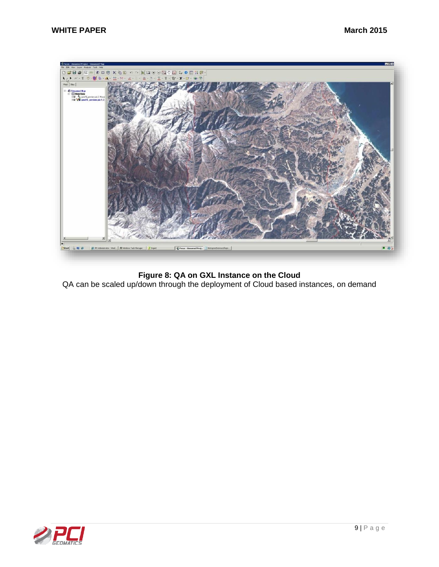

**Figure 8: QA on GXL Instance on the Cloud** QA can be scaled up/down through the deployment of Cloud based instances, on demand